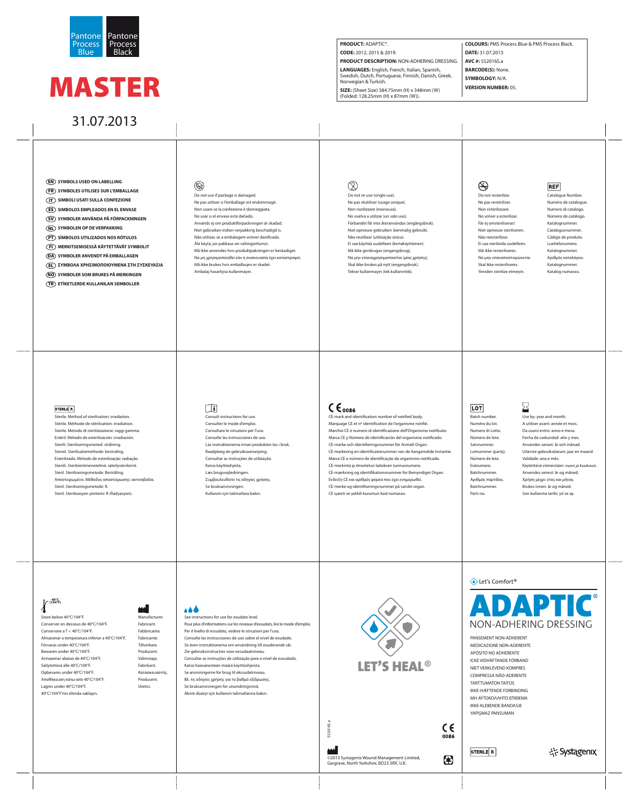**SYMBOLS USED ON LABELLING** EN

- **SYMBOLES UTILISES SUR L'EMBALLAGE** FR
- **SIMBOLI USATI SULLA CONFEZIONE** IT
- **ES) SIMBOLOS EMPLEADOS EN EL ENVASE**
- SV) SYMBOLER ANVÄNDA PÅ FÖRPACKNINGEN
- **SYMBOLEN OP DE VERPAKKING** NL
- **SÍMBOLOS UTILIZADOS NOS RÓTULOS** PT
- **MERKITSEMISESSÄ KÄYTETTÄVÄT SYMBOLIT** FI
- **SYMBOLER ANVENDT PÅ EMBALLAGEN** DA
- **ΣΥΜΒΟΛΑ ΧΡΗΣΙΜΟΠΟΙΟΥΜΕΝΑ ΣΤΗ ΣΥΣΚΕΥΑΣΙΑ** EL
- **SYMBOLER SOM BRUKES PÅ MERKINGEN** NO
- **ETİKETLERDE KULLANILAN SEMBOLLER** TR

# $\circledast$

Do not re-use (single use). Ne pas réutiliser (usage unique). Non riutilizzare (monouso). No vuelva a utilizar (un solo uso). Förbandet får inte återanvändas (engångsbruk). Niet opnieuw gebruiken (eenmalig gebruik). Não reutilizar (utilização única). Ei saa käyttää uudelleen (kertakäyttöinen). Må ikke genbruges (engangsbrug). Να μην επαναχρησιμοποιείται (μίας χρήσης). Skal ikke brukes på nytt (engangsbruk). Tekrar kullanmayın (tek kullanımlık).

# (STERNZE)

Sterile. Method of sterilisation: irradiation. Stérile. Méthode de stérilisation: irradiation. Sterile. Metodo di sterilizzazione: raggi gamma. Estéril. Método de esterilización: irradiación. Sterilt. Steriliseringsmetod: strålning. Steriel. Sterilisatiemethode: bestraling. Esterilizado. Método de esterilização: radiação. Steriili. Sterilointimenetelmä: säteilysterilointi. Steril. Steriliseringsmetode: Bestråling. Αποστειρωμένο. Μέθοδος αποστείρωσης: ακτινοβολία. Steril. Steriliseringsmetode: R. Steril. Sterilizasyon yöntemi: R (Radyasyon).

# $\left[\begin{smallmatrix}\mathbf{1} \\ \mathbf{1} \end{smallmatrix}\right]$

**REF** Catalogue Number.

Do not use if package is damaged. Ne pas utiliser si l'emballage est endommagé. Non usare se la confezione è danneggiata. No usar si el envase está dañado. Används ej om produktförpackningen är skadad. Niet gebruiken indien verpakking beschadigd is. Não utilizar, se a embalagem estiver danificada. Älä käytä, jos pakkaus on vahingoittunut. Må ikke anvendes hvis produktpakningen er beskadiget. Να μη χρησιμοποιηθεί εάν η συσκευασία έχει καταστραφεί. Må ikke brukes hvis emballasjen er skadet. Ambalaj hasarlıysa kullanmayın.

# (8)

| Store below 40°C/104°F.                           | Manufacturer.  |
|---------------------------------------------------|----------------|
| Conserver en dessous de 40°C/104°F.               | Fabricant.     |
| Conservare a $T < 40^{\circ}$ C/104 $^{\circ}$ F. | Fabbricante.   |
| Almacenar a temperatura inferior a 40°C/104°F.    | Fabricante.    |
| Förvaras under 40°C/104°F.                        | Tillverkare.   |
| Bewaren onder 40°C/104°F.                         | Producent.     |
| Armazenar abaixo de 40°C/104°F.                   | Valmistaja.    |
| Säilytettävä alle 40°C/104°F.                     | Fabrikant.     |
| Opbevares under 40°C/104°F.                       | Κατασκευαστής. |
| Αποθήκευση κάτω από 40°C/104°F.                   | Produsent.     |
| Lagres under 40°C/104°F.                          | Üretici.       |
| 40°C/104°F'nin altında saklayın.                  |                |

# 466

Do not resterilize. Ne pas restériliser. Non risterilizzare. No volver a esterilizar. Får ej omsteriliseras! Niet opnieuw steriliseren. Não reesterilizar. Ei saa steriloida uudelleen. Må ikke resteriliseres. Να μην επαναποστειρώνεται. Skal ikke resteriliseres. Yeniden sterilize etmeyin.

CE-mark and identification number of notified body. Marquage CE et nº identification de l'organisme notifié. Marchio CE e numero di identificazione dell'Organismo notificato. Marca CE y Número de identificación del organismo notificado. CE-märke och identifieringsnummer för Anmält Organ. CE-markering en identificatienummer van de Aangemelde Instantie. Marca CE e número de identificação do organismo notificado. CE-merkintä ja ilmoitetun laitoksen tunnusnumero. CE-mærkning og identifikationsnummer for Bemyndiget Organ. Ενδειξη CE και αριθμός φορέα που έχει ενημερωθεί. CE-merke og identifiseringsnummer på varslet organ. CE işareti ve yetkili kurumun kod numarası.

# $|LOT|$

# **ADAPTIC®** NON-ADHERING DRESSING

©2013 Systagenix Wound Management Limited, ဖြစ်<br>မြ<br>မြ<br>©2013 Systagenix Wound Management L<br>Gargrave, North Yorkshire, BD23 3RX, U.K.

 $C \in$ 0086

8

Consult instructions for use. Consulter le mode d'emploi. Consultare le istruzioni per l'uso. Consulte las instrucciones de uso. Läs instruktionerna innan produkten tas i bruk. Raadpleeg de gebruiksaanwijzing. Consultar as instruções de utilização. Katso käyttöohjeita. Læs brugsvejledningen. Συμβουλευθείτε τις οδηγίες χρήσης. Se bruksanvisningen. Kullanım için talimatlara bakın.

# $\zeta \epsilon_{\text{0086}}$

## Numéro de catalogue. Numero di catalogo. Número de catálogo. Katalognummer. Catalogusnummer. Código de produto. Luettelonumero. Katalognummer. Αριθμός καταλόγου. Katalognummer. Katalog numarası.

### STERILE R

Batch number. Numéro du lot. Numero di Lotto. Número de lote. Satsnummer. Lotnummer (partij). Número de lote. Eränumero. Batchnummer. Αριθμός παρτίδας. Batchnummer. Parti no.

# Use by: year and month. A utiliser avant: année et mois. Validade: ano e mês.

Da usarsi entro: anno e meso. Fecha de caducidad: año y mes. Användes senast: år och månad. Uiterste gebruiksdatum: jaar en maand. Käytettävä viimeistään: vuosi ja kuukausi. Anvendes senest: år og måned. Χρήση μέχρι: έτος και μήνας. Brukes innen: år og måned. Son kullanma tarihi: yıl ve ay.

# **40°C (104°F)**

See instructions for use for exudate level. Pour plus d'informations sur les niveaux d'exsudats, lire le mode d'emploi. Per il livello di essudato, vedere le istruzioni per l'uso. Consulte las instrucciones de uso sobre el nivel de exudado. Se även instruktionerna om användning till exuderande sår. Zie gebruiksinstructies voor exsudaatniveau. Consultar as instruções de utilização para o nível de exsudado. Katso haavanesteen määrä käyttöohjeista. Se anvisningerne for brug til ekssudatniveau. Βλ. τις οδηγίες χρήσης για το βαθμό εξίδρωσης. Se bruksanvisningen for utsondringsnivå. Akıntı düzeyi için kullanım talimatlarına bakın.



# ◆ Let's Comfort<sup>®</sup>

PANSEMENT NON-ADHERENT MEDICAZIONE NON-ADERENTE APÓSITO NO ADHERENTE ICKE VIDHÄFTANDE FÖRBAND NIET VERKLEVEND KOMPRES COMPRESSA NÃO-ADERENTE TARTTUMATON TAITOS IKKE-HÆFTENDE FORBINDING ΜΗ ΑΥΤΟΚΟΛΛΗΤΟ ΕΠΙΘΕΜA IKKE-KLEBENDE BANDASJE YAPIŞMAZ PANSUMAN

STERILE R

국구 Systagenix

# MASTER

# 31.07.2013



### **PRODUCT:** ADAPTIC®. **CODE:** 2012, 2015 & 2019. **PRODUCT DESCRIPTION:** NON-ADHERING DRESSING. **LANGUAGES:** English, French, Italian, Spanish, Swedish, Dutch, Portuguese, Finnish, Danish, Greek, Norwegian & Turkish. **SIZE:** (Sheet Size) 384.75mm (H) x 348mm (W) (Folded: 128.25mm (H) x 87mm (W)). **COLOURS:** PMS Process Blue & PMS Process Black. **DATE:** 31.07.2013 **AVC #:** 552016S.a **BARCODE(S):** None. **SYMBOLOGY:** N/A. **VERSION NUMBER:** 05.